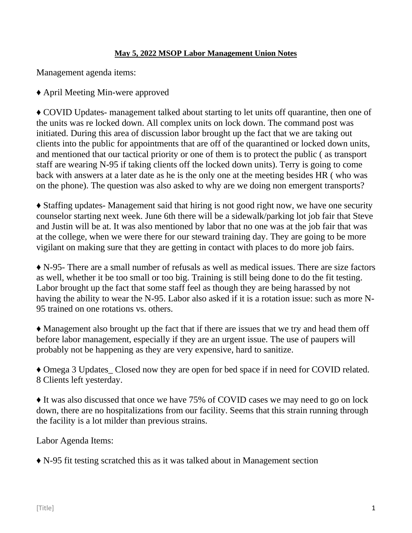## **May 5, 2022 MSOP Labor Management Union Notes**

Management agenda items:

♦ April Meeting Min-were approved

♦ COVID Updates- management talked about starting to let units off quarantine, then one of the units was re locked down. All complex units on lock down. The command post was initiated. During this area of discussion labor brought up the fact that we are taking out clients into the public for appointments that are off of the quarantined or locked down units, and mentioned that our tactical priority or one of them is to protect the public ( as transport staff are wearing N-95 if taking clients off the locked down units). Terry is going to come back with answers at a later date as he is the only one at the meeting besides HR ( who was on the phone). The question was also asked to why are we doing non emergent transports?

♦ Staffing updates- Management said that hiring is not good right now, we have one security counselor starting next week. June 6th there will be a sidewalk/parking lot job fair that Steve and Justin will be at. It was also mentioned by labor that no one was at the job fair that was at the college, when we were there for our steward training day. They are going to be more vigilant on making sure that they are getting in contact with places to do more job fairs.

♦ N-95- There are a small number of refusals as well as medical issues. There are size factors as well, whether it be too small or too big. Training is still being done to do the fit testing. Labor brought up the fact that some staff feel as though they are being harassed by not having the ability to wear the N-95. Labor also asked if it is a rotation issue: such as more N-95 trained on one rotations vs. others.

♦ Management also brought up the fact that if there are issues that we try and head them off before labor management, especially if they are an urgent issue. The use of paupers will probably not be happening as they are very expensive, hard to sanitize.

♦ Omega 3 Updates\_ Closed now they are open for bed space if in need for COVID related. 8 Clients left yesterday.

♦ It was also discussed that once we have 75% of COVID cases we may need to go on lock down, there are no hospitalizations from our facility. Seems that this strain running through the facility is a lot milder than previous strains.

Labor Agenda Items:

♦ N-95 fit testing scratched this as it was talked about in Management section